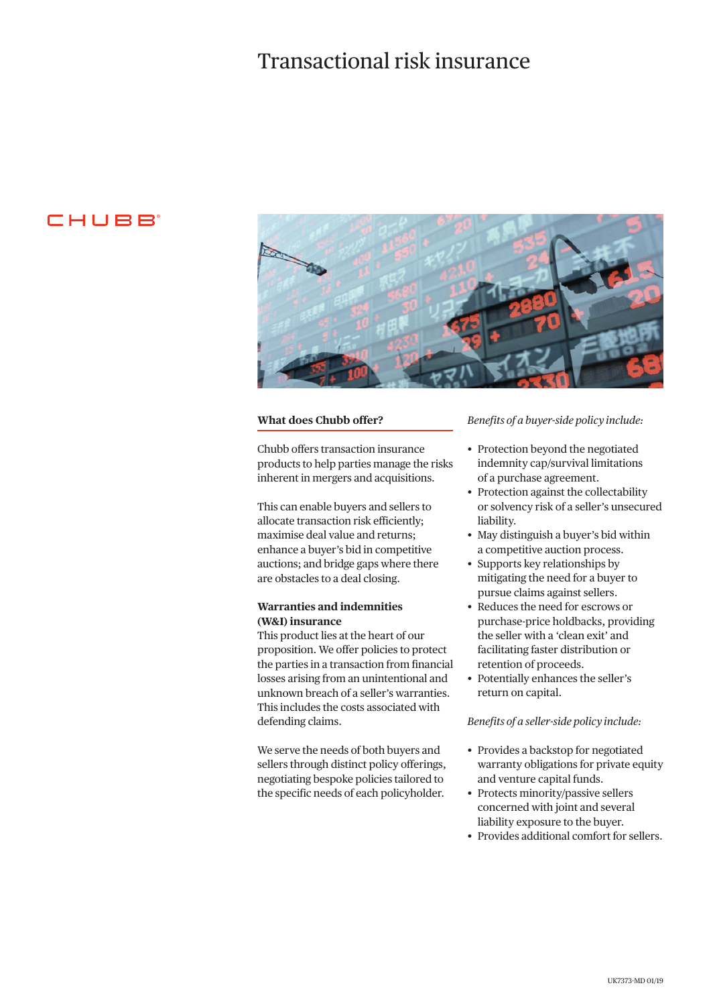## Transactional risk insurance

## CHUBB



#### **What does Chubb offer?**

Chubb offers transaction insurance products to help parties manage the risks inherent in mergers and acquisitions.

This can enable buyers and sellers to allocate transaction risk efficiently; maximise deal value and returns; enhance a buyer's bid in competitive auctions; and bridge gaps where there are obstacles to a deal closing.

### **Warranties and indemnities (W&I) insurance**

This product lies at the heart of our proposition. We offer policies to protect the parties in a transaction from financial losses arising from an unintentional and unknown breach of a seller's warranties. This includes the costs associated with defending claims.

We serve the needs of both buyers and sellers through distinct policy offerings, negotiating bespoke policies tailored to the specific needs of each policyholder.

#### *Benefits of a buyer-side policy include:*

- Protection beyond the negotiated indemnity cap/survival limitations of a purchase agreement.
- Protection against the collectability or solvency risk of a seller's unsecured liability.
- May distinguish a buyer's bid within a competitive auction process.
- Supports key relationships by mitigating the need for a buyer to pursue claims against sellers.
- Reduces the need for escrows or purchase-price holdbacks, providing the seller with a 'clean exit' and facilitating faster distribution or retention of proceeds.
- Potentially enhances the seller's return on capital.

#### *Benefits of a seller-side policy include:*

- Provides a backstop for negotiated warranty obligations for private equity and venture capital funds.
- Protects minority/passive sellers concerned with joint and several liability exposure to the buyer.
- Provides additional comfort for sellers.